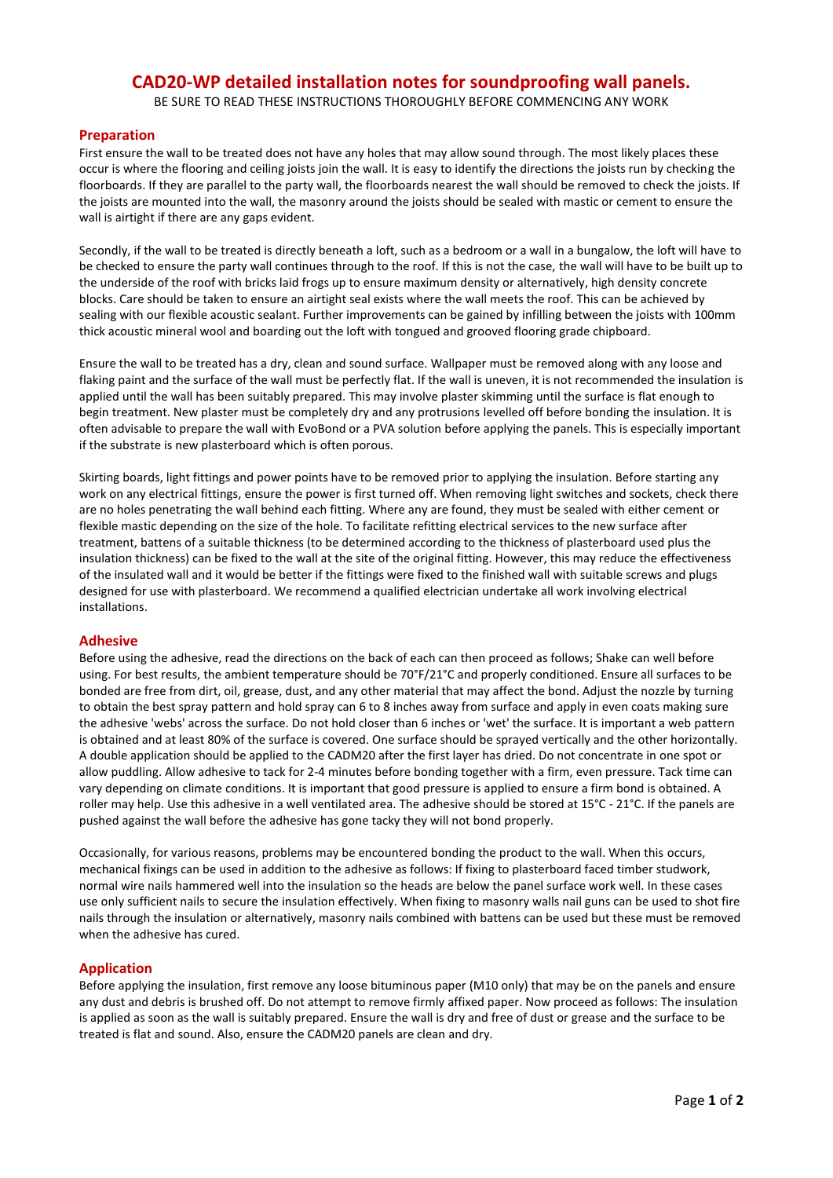## **CAD20-WP detailed installation notes for soundproofing wall panels.**

BE SURE TO READ THESE INSTRUCTIONS THOROUGHLY BEFORE COMMENCING ANY WORK

## **Preparation**

First ensure the wall to be treated does not have any holes that may allow sound through. The most likely places these occur is where the flooring and ceiling joists join the wall. It is easy to identify the directions the joists run by checking the floorboards. If they are parallel to the party wall, the floorboards nearest the wall should be removed to check the joists. If the joists are mounted into the wall, the masonry around the joists should be sealed with mastic or cement to ensure the wall is airtight if there are any gaps evident.

Secondly, if the wall to be treated is directly beneath a loft, such as a bedroom or a wall in a bungalow, the loft will have to be checked to ensure the party wall continues through to the roof. If this is not the case, the wall will have to be built up to the underside of the roof with bricks laid frogs up to ensure maximum density or alternatively, high density concrete blocks. Care should be taken to ensure an airtight seal exists where the wall meets the roof. This can be achieved by sealing with our flexible acoustic sealant. Further improvements can be gained by infilling between the joists with 100mm thick acoustic mineral wool and boarding out the loft with tongued and grooved flooring grade chipboard.

Ensure the wall to be treated has a dry, clean and sound surface. Wallpaper must be removed along with any loose and flaking paint and the surface of the wall must be perfectly flat. If the wall is uneven, it is not recommended the insulation is applied until the wall has been suitably prepared. This may involve plaster skimming until the surface is flat enough to begin treatment. New plaster must be completely dry and any protrusions levelled off before bonding the insulation. It is often advisable to prepare the wall with EvoBond or a PVA solution before applying the panels. This is especially important if the substrate is new plasterboard which is often porous.

Skirting boards, light fittings and power points have to be removed prior to applying the insulation. Before starting any work on any electrical fittings, ensure the power is first turned off. When removing light switches and sockets, check there are no holes penetrating the wall behind each fitting. Where any are found, they must be sealed with either cement or flexible mastic depending on the size of the hole. To facilitate refitting electrical services to the new surface after treatment, battens of a suitable thickness (to be determined according to the thickness of plasterboard used plus the insulation thickness) can be fixed to the wall at the site of the original fitting. However, this may reduce the effectiveness of the insulated wall and it would be better if the fittings were fixed to the finished wall with suitable screws and plugs designed for use with plasterboard. We recommend a qualified electrician undertake all work involving electrical installations.

## **Adhesive**

Before using the adhesive, read the directions on the back of each can then proceed as follows; Shake can well before using. For best results, the ambient temperature should be 70°F/21°C and properly conditioned. Ensure all surfaces to be bonded are free from dirt, oil, grease, dust, and any other material that may affect the bond. Adjust the nozzle by turning to obtain the best spray pattern and hold spray can 6 to 8 inches away from surface and apply in even coats making sure the adhesive 'webs' across the surface. Do not hold closer than 6 inches or 'wet' the surface. It is important a web pattern is obtained and at least 80% of the surface is covered. One surface should be sprayed vertically and the other horizontally. A double application should be applied to the CADM20 after the first layer has dried. Do not concentrate in one spot or allow puddling. Allow adhesive to tack for 2-4 minutes before bonding together with a firm, even pressure. Tack time can vary depending on climate conditions. It is important that good pressure is applied to ensure a firm bond is obtained. A roller may help. Use this adhesive in a well ventilated area. The adhesive should be stored at 15°C - 21°C. If the panels are pushed against the wall before the adhesive has gone tacky they will not bond properly.

Occasionally, for various reasons, problems may be encountered bonding the product to the wall. When this occurs, mechanical fixings can be used in addition to the adhesive as follows: If fixing to plasterboard faced timber studwork, normal wire nails hammered well into the insulation so the heads are below the panel surface work well. In these cases use only sufficient nails to secure the insulation effectively. When fixing to masonry walls nail guns can be used to shot fire nails through the insulation or alternatively, masonry nails combined with battens can be used but these must be removed when the adhesive has cured.

## **Application**

Before applying the insulation, first remove any loose bituminous paper (M10 only) that may be on the panels and ensure any dust and debris is brushed off. Do not attempt to remove firmly affixed paper. Now proceed as follows: The insulation is applied as soon as the wall is suitably prepared. Ensure the wall is dry and free of dust or grease and the surface to be treated is flat and sound. Also, ensure the CADM20 panels are clean and dry.